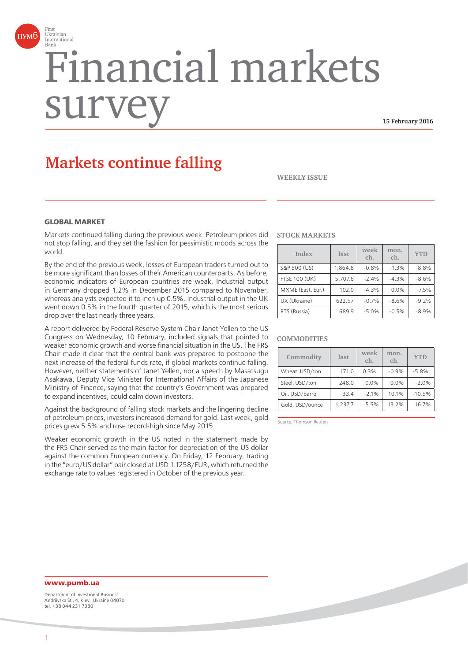

# Financial markets surv

**15 February 2016**

# **Markets continue falling**

**WEEKLY ISSUE**

#### **GLOBAL MARKET**

Markets continued falling during the previous week. Petroleum prices did not stop falling, and they set the fashion for pessimistic moods across the world.

By the end of the previous week, losses of European traders turned out to be more significant than losses of their American counterparts. As before, economic indicators of European countries are weak. Industrial output in Germany dropped 1.2% in December 2015 compared to November, whereas analysts expected it to inch up 0.5%. Industrial output in the UK went down 0.5% in the fourth quarter of 2015, which is the most serious drop over the last nearly three years.

A report delivered by Federal Reserve System Chair Janet Yellen to the US Congress on Wednesday, 10 February, included signals that pointed to weaker economic growth and worse financial situation in the US. The FRS Chair made it clear that the central bank was prepared to postpone the next increase of the federal funds rate, if global markets continue falling. However, neither statements of Janet Yellen, nor a speech by Masatsugu Asakawa, Deputy Vice Minister for International Affairs of the Japanese Ministry of Finance, saying that the country's Government was prepared to expand incentives, could calm down investors.

Against the background of falling stock markets and the lingering decline of petroleum prices, investors increased demand for gold. Last week, gold prices grew 5.5% and rose record-high since May 2015.

Weaker economic growth in the US noted in the statement made by the FRS Chair served as the main factor for depreciation of the US dollar against the common European currency. On Friday, 12 February, trading in the "euro/US dollar" pair closed at USD 1.1258/EUR, which returned the exchange rate to values registered in October of the previous year.

#### **STOCK MARKETS**

| Index                | last    | week<br>ch. | mon.<br>ch. | <b>YTD</b> |
|----------------------|---------|-------------|-------------|------------|
| S&P 500 (US)         | 1,864.8 | $-0.8%$     | $-1.3%$     | $-8.8%$    |
| <b>FTSE 100 (UK)</b> | 5.707.6 | $-2.4%$     | $-4.3%$     | $-8.6%$    |
| MXME (East. Eur.)    | 102.0   | $-4.3%$     | 0.0%        | $-7.5%$    |
| UX (Ukraine)         | 622.57  | $-0.7%$     | $-8.6%$     | $-9.2%$    |
| RTS (Russia)         | 689.9   | $-5.0%$     | $-0.5%$     | $-8.9%$    |

#### **COMMODITIES**

| Commodity       | last    | week<br>ch. | mon.<br>ch. | <b>YTD</b> |
|-----------------|---------|-------------|-------------|------------|
| Wheat. USD/ton  | 171.0   | 0.3%        | $-0.9%$     | $-5.8%$    |
| Steel. USD/ton  | 248.0   | 0.0%        | 0.0%        | $-2.0%$    |
| Oil. USD/barrel | 33.4    | $-2.1%$     | 10.1%       | $-10.5%$   |
| Gold. USD/ounce | 1.237.7 | 5.5%        | 13.2%       | 16.7%      |

Source: Thomson Reuters

### **www.pumb.ua**

Department of Investment Business Andriivska St., 4, Kiev, Ukraine 04070 tel. +38 044 231 7380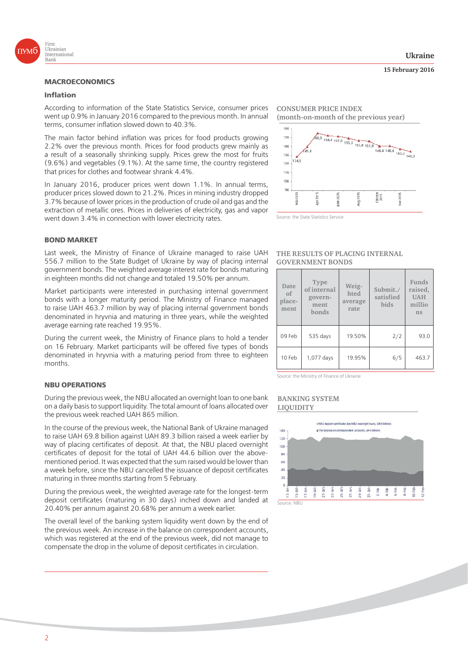

#### **Inflation**

According to information of the State Statistics Service, consumer prices went up 0.9% in January 2016 compared to the previous month. In annual terms, consumer inflation slowed down to 40.3%.

The main factor behind inflation was prices for food products growing 2.2% over the previous month. Prices for food products grew mainly as a result of a seasonally shrinking supply. Prices grew the most for fruits (9.6%) and vegetables (9.1%). At the same time, the country registered that prices for clothes and footwear shrank 4.4%.

In January 2016, producer prices went down 1.1%. In annual terms, producer prices slowed down to 21.2%. Prices in mining industry dropped 3.7% because of lower prices in the production of crude oil and gas and the extraction of metallic ores. Prices in deliveries of electricity, gas and vapor went down 3.4% in connection with lower electricity rates.

#### **BOND MARKET**

Last week, the Ministry of Finance of Ukraine managed to raise UAH 556.7 million to the State Budget of Ukraine by way of placing internal government bonds. The weighted average interest rate for bonds maturing in eighteen months did not change and totaled 19.50% per annum.

Market participants were interested in purchasing internal government bonds with a longer maturity period. The Ministry of Finance managed to raise UAH 463.7 million by way of placing internal government bonds denominated in hryvnia and maturing in three years, while the weighted average earning rate reached 19.95%.

During the current week, the Ministry of Finance plans to hold a tender on 16 February. Market participants will be offered five types of bonds denominated in hryvnia with a maturing period from three to eighteen months.

## **NBU OPERATIONS**

During the previous week, the NBU allocated an overnight loan to one bank on a daily basis to support liquidity. The total amount of loans allocated over the previous week reached UAH 865 million.

In the course of the previous week, the National Bank of Ukraine managed to raise UAH 69.8 billion against UAH 89.3 billion raised a week earlier by way of placing certificates of deposit. At that, the NBU placed overnight certificates of deposit for the total of UAH 44.6 billion over the abovementioned period. It was expected that the sum raised would be lower than a week before, since the NBU cancelled the issuance of deposit certificates maturing in three months starting from 5 February.

During the previous week, the weighted average rate for the longest-term deposit certificates (maturing in 30 days) inched down and landed at 20.40% per annum against 20.68% per annum a week earlier.

The overall level of the banking system liquidity went down by the end of the previous week. An increase in the balance on correspondent accounts, which was registered at the end of the previous week, did not manage to compensate the drop in the volume of deposit certificates in circulation.

**CONSUMER PRICE INDEX (month-on-month of the previous year)**





#### **THE RESULTS OF PLACING INTERNAL GOVERNMENT BONDS**

| Date<br>of<br>place-<br>ment | Type<br>of internal<br>govern-<br>ment<br>bonds | Weig-<br>hted<br>average<br>rate | Submit./<br>satisfied<br>bids | Funds<br>raised,<br><b>UAH</b><br>millio<br>ns |
|------------------------------|-------------------------------------------------|----------------------------------|-------------------------------|------------------------------------------------|
| 09 Feb                       | 535 days                                        | 19.50%                           | 2/2                           | 93.0                                           |
| 10 Feb                       | 1,077 days                                      | 19.95%                           | 6/5                           | 463.7                                          |

Source: the Ministry of Finance of Ukraine

#### **BANKING SYSTEM LIQUIDITY**



**15 February 2016**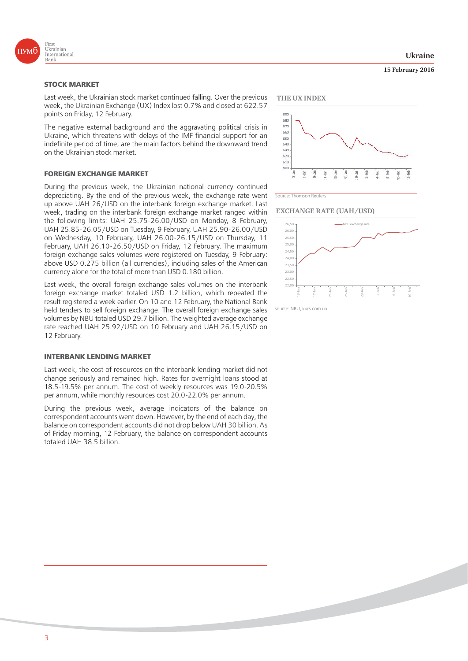

#### **STOCK MARKET**

Last week, the Ukrainian stock market continued falling. Over the previous week, the Ukrainian Exchange (UX) Index lost 0.7% and closed at 622.57 points on Friday, 12 February.

The negative external background and the aggravating political crisis in Ukraine, which threatens with delays of the IMF financial support for an indefinite period of time, are the main factors behind the downward trend on the Ukrainian stock market.

#### **FOREIGN EXCHANGE MARKET**

During the previous week, the Ukrainian national currency continued depreciating. By the end of the previous week, the exchange rate went up above UAH 26/USD on the interbank foreign exchange market. Last week, trading on the interbank foreign exchange market ranged within the following limits: UAH 25.75-26.00/USD on Monday, 8 February, UAH 25.85-26.05/USD on Tuesday, 9 February, UAH 25.90-26.00/USD on Wednesday, 10 February, UAH 26.00-26.15/USD on Thursday, 11 February, UAH 26.10-26.50/USD on Friday, 12 February. The maximum foreign exchange sales volumes were registered on Tuesday, 9 February: above USD 0.275 billion (all currencies), including sales of the American currency alone for the total of more than USD 0.180 billion.

Last week, the overall foreign exchange sales volumes on the interbank foreign exchange market totaled USD 1.2 billion, which repeated the result registered a week earlier. On 10 and 12 February, the National Bank held tenders to sell foreign exchange. The overall foreign exchange sales volumes by NBU totaled USD 29.7 billion. The weighted average exchange rate reached UAH 25.92/USD on 10 February and UAH 26.15/USD on 12 February.

#### **INTERBANK LENDING MARKET**

Last week, the cost of resources on the interbank lending market did not change seriously and remained high. Rates for overnight loans stood at 18.5-19.5% per annum. The cost of weekly resources was 19.0-20.5% per annum, while monthly resources cost 20.0-22.0% per annum.

During the previous week, average indicators of the balance on correspondent accounts went down. However, by the end of each day, the balance on correspondent accounts did not drop below UAH 30 billion. As of Friday morning, 12 February, the balance on correspondent accounts totaled UAH 38.5 billion.

**Ukraine**

#### **15 February 2016**



Source: Thomson Reuters





Source: NBU, kurs.com.ua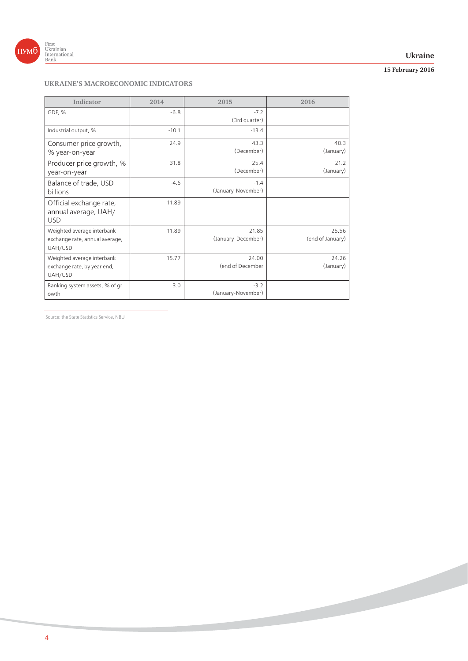

#### **Ukraine**

# **15 February 2016**

# **UKRAINE'S MACROECONOMIC INDICATORS**

| Indicator                                                               | 2014    | 2015                         | 2016                      |
|-------------------------------------------------------------------------|---------|------------------------------|---------------------------|
| GDP, %                                                                  | $-6.8$  | $-7.2$<br>(3rd quarter)      |                           |
| Industrial output, %                                                    | $-10.1$ | $-13.4$                      |                           |
| Consumer price growth,<br>% year-on-year                                | 24.9    | 43.3<br>(December)           | 40.3<br>(January)         |
| Producer price growth, %<br>year-on-year                                | 31.8    | 25.4<br>(December)           | 21.2<br>(January)         |
| Balance of trade, USD<br>billions                                       | $-4.6$  | $-1.4$<br>(January-November) |                           |
| Official exchange rate,<br>annual average, UAH/<br><b>USD</b>           | 11.89   |                              |                           |
| Weighted average interbank<br>exchange rate, annual average,<br>UAH/USD | 11.89   | 21.85<br>(January-December)  | 25.56<br>(end of January) |
| Weighted average interbank<br>exchange rate, by year end,<br>UAH/USD    | 15.77   | 24.00<br>(end of December    | 24.26<br>(January)        |
| Banking system assets, % of gr<br>owth                                  | 3.0     | $-3.2$<br>(January-November) |                           |

Source: the State Statistics Service, NBU